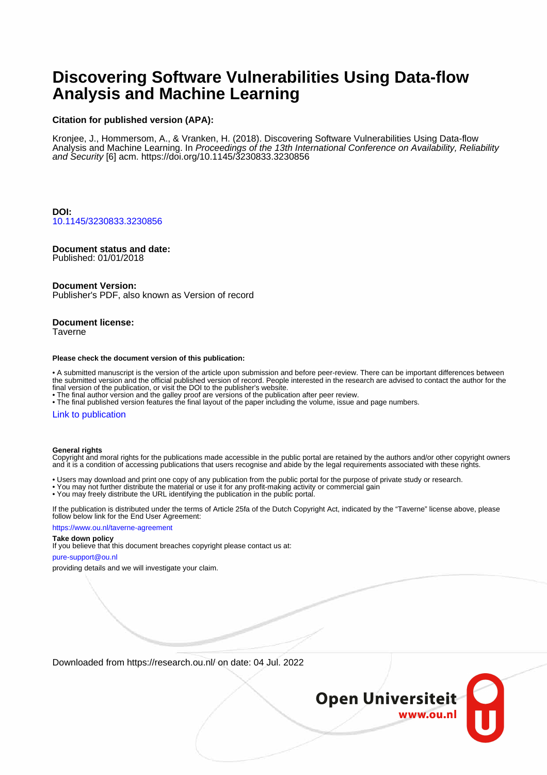# **Discovering Software Vulnerabilities Using Data-flow Analysis and Machine Learning**

# **Citation for published version (APA):**

Kronjee, J., Hommersom, A., & Vranken, H. (2018). Discovering Software Vulnerabilities Using Data-flow Analysis and Machine Learning. In *Proceedings of the 13th International Conference on Availability, Reliability* and Security [6] acm. <https://doi.org/10.1145/3230833.3230856>

**DOI:** [10.1145/3230833.3230856](https://doi.org/10.1145/3230833.3230856)

# **Document status and date:**

Published: 01/01/2018

# **Document Version:**

Publisher's PDF, also known as Version of record

# **Document license:**

Taverne

#### **Please check the document version of this publication:**

• A submitted manuscript is the version of the article upon submission and before peer-review. There can be important differences between the submitted version and the official published version of record. People interested in the research are advised to contact the author for the final version of the publication, or visit the DOI to the publisher's website.

• The final author version and the galley proof are versions of the publication after peer review.

• The final published version features the final layout of the paper including the volume, issue and page numbers.

#### [Link to publication](https://research.ou.nl/en/publications/87e4ec8a-80de-4fd2-86dd-65b4a532cfb9)

#### **General rights**

Copyright and moral rights for the publications made accessible in the public portal are retained by the authors and/or other copyright owners and it is a condition of accessing publications that users recognise and abide by the legal requirements associated with these rights.

- Users may download and print one copy of any publication from the public portal for the purpose of private study or research.
- You may not further distribute the material or use it for any profit-making activity or commercial gain
- You may freely distribute the URL identifying the publication in the public portal.

If the publication is distributed under the terms of Article 25fa of the Dutch Copyright Act, indicated by the "Taverne" license above, please follow below link for the End User Agreement:

#### https://www.ou.nl/taverne-agreement

# **Take down policy**

If you believe that this document breaches copyright please contact us at:

#### pure-support@ou.nl

providing details and we will investigate your claim.

Downloaded from https://research.ou.nl/ on date: 04 Jul. 2022

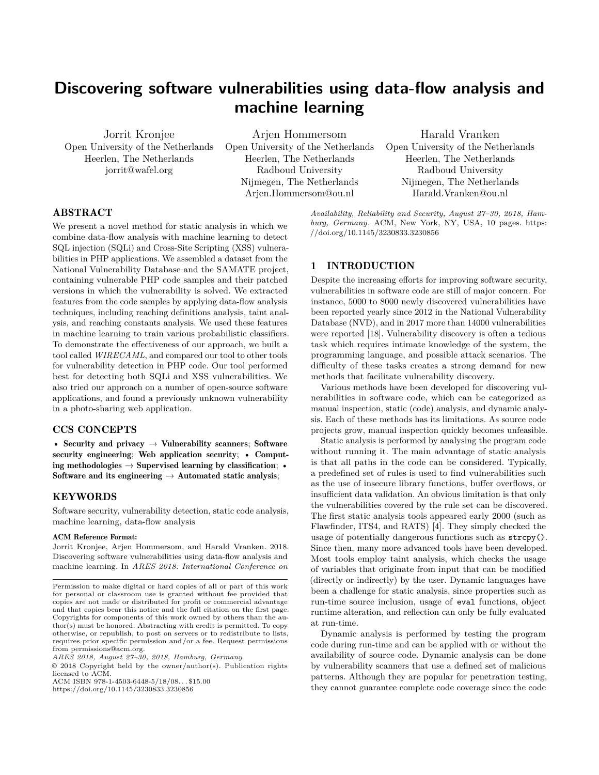# **Discovering software vulnerabilities using data-flow analysis and machine learning**

Jorrit Kronjee Open University of the Netherlands Heerlen, The Netherlands jorrit@wafel.org

Arjen Hommersom Open University of the Netherlands Heerlen, The Netherlands Radboud University Nijmegen, The Netherlands Arjen.Hommersom@ou.nl

Harald Vranken Open University of the Netherlands Heerlen, The Netherlands Radboud University Nijmegen, The Netherlands Harald.Vranken@ou.nl

# ABSTRACT

We present a novel method for static analysis in which we combine data-flow analysis with machine learning to detect SQL injection (SQLi) and Cross-Site Scripting (XSS) vulnerabilities in PHP applications. We assembled a dataset from the National Vulnerability Database and the SAMATE project, containing vulnerable PHP code samples and their patched versions in which the vulnerability is solved. We extracted features from the code samples by applying data-flow analysis techniques, including reaching definitions analysis, taint analysis, and reaching constants analysis. We used these features in machine learning to train various probabilistic classifiers. To demonstrate the effectiveness of our approach, we built a tool called *WIRECAML*, and compared our tool to other tools for vulnerability detection in PHP code. Our tool performed best for detecting both SQLi and XSS vulnerabilities. We also tried our approach on a number of open-source software applications, and found a previously unknown vulnerability in a photo-sharing web application.

# CCS CONCEPTS

• Security and privacy  $\rightarrow$  Vulnerability scanners; Software security engineering; Web application security; • Computing methodologies  $\rightarrow$  Supervised learning by classification; • Software and its engineering  $\rightarrow$  Automated static analysis;

## KEYWORDS

Software security, vulnerability detection, static code analysis, machine learning, data-flow analysis

#### ACM Reference Format:

Jorrit Kronjee, Arjen Hommersom, and Harald Vranken. 2018. Discovering software vulnerabilities using data-flow analysis and machine learning. In *ARES 2018: International Conference on*

ACM ISBN 978-1-4503-6448-5/18/08. . . \$15.00

*Availability, Reliability and Security, August 27–30, 2018, Hamburg, Germany.* ACM, New York, NY, USA, [10](#page-10-0) pages. [https:](https://doi.org/10.1145/3230833.3230856) [//doi.org/10.1145/3230833.3230856](https://doi.org/10.1145/3230833.3230856)

# 1 INTRODUCTION

Despite the increasing efforts for improving software security, vulnerabilities in software code are still of major concern. For instance, 5000 to 8000 newly discovered vulnerabilities have been reported yearly since 2012 in the National Vulnerability Database (NVD), and in 2017 more than 14000 vulnerabilities were reported [\[18\]](#page-10-1). Vulnerability discovery is often a tedious task which requires intimate knowledge of the system, the programming language, and possible attack scenarios. The difficulty of these tasks creates a strong demand for new methods that facilitate vulnerability discovery.

Various methods have been developed for discovering vulnerabilities in software code, which can be categorized as manual inspection, static (code) analysis, and dynamic analysis. Each of these methods has its limitations. As source code projects grow, manual inspection quickly becomes unfeasible.

Static analysis is performed by analysing the program code without running it. The main advantage of static analysis is that all paths in the code can be considered. Typically, a predefined set of rules is used to find vulnerabilities such as the use of insecure library functions, buffer overflows, or insufficient data validation. An obvious limitation is that only the vulnerabilities covered by the rule set can be discovered. The first static analysis tools appeared early 2000 (such as Flawfinder, ITS4, and RATS) [\[4\]](#page-10-2). They simply checked the usage of potentially dangerous functions such as strcpy(). Since then, many more advanced tools have been developed. Most tools employ taint analysis, which checks the usage of variables that originate from input that can be modified (directly or indirectly) by the user. Dynamic languages have been a challenge for static analysis, since properties such as run-time source inclusion, usage of eval functions, object runtime alteration, and reflection can only be fully evaluated at run-time.

Dynamic analysis is performed by testing the program code during run-time and can be applied with or without the availability of source code. Dynamic analysis can be done by vulnerability scanners that use a defined set of malicious patterns. Although they are popular for penetration testing, they cannot guarantee complete code coverage since the code

Permission to make digital or hard copies of all or part of this work for personal or classroom use is granted without fee provided that copies are not made or distributed for profit or commercial advantage and that copies bear this notice and the full citation on the first page. Copyrights for components of this work owned by others than the author(s) must be honored. Abstracting with credit is permitted. To copy otherwise, or republish, to post on servers or to redistribute to lists, requires prior specific permission and/or a fee. Request permissions from permissions@acm.org.

*ARES 2018, August 27–30, 2018, Hamburg, Germany*

<sup>©</sup> 2018 Copyright held by the owner/author(s). Publication rights licensed to ACM.

<https://doi.org/10.1145/3230833.3230856>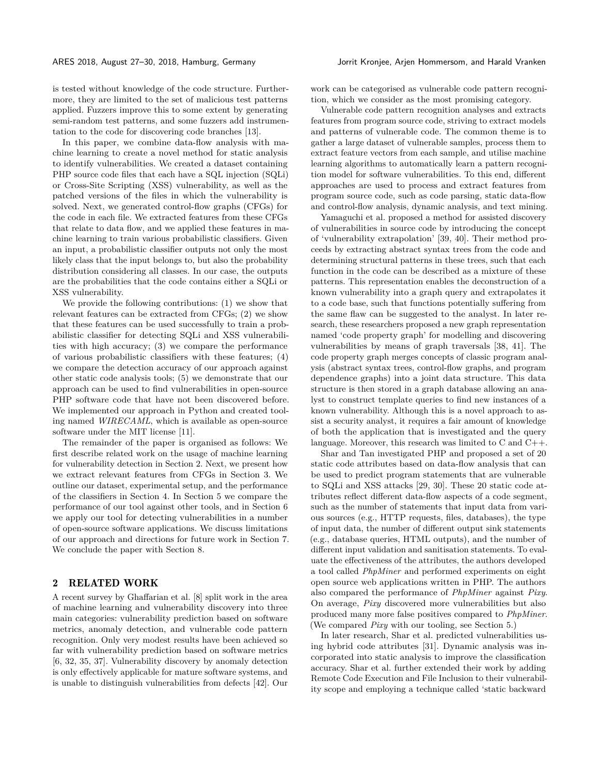is tested without knowledge of the code structure. Furthermore, they are limited to the set of malicious test patterns applied. Fuzzers improve this to some extent by generating semi-random test patterns, and some fuzzers add instrumentation to the code for discovering code branches [\[13\]](#page-10-3).

In this paper, we combine data-flow analysis with machine learning to create a novel method for static analysis to identify vulnerabilities. We created a dataset containing PHP source code files that each have a SQL injection (SQLi) or Cross-Site Scripting (XSS) vulnerability, as well as the patched versions of the files in which the vulnerability is solved. Next, we generated control-flow graphs (CFGs) for the code in each file. We extracted features from these CFGs that relate to data flow, and we applied these features in machine learning to train various probabilistic classifiers. Given an input, a probabilistic classifier outputs not only the most likely class that the input belongs to, but also the probability distribution considering all classes. In our case, the outputs are the probabilities that the code contains either a SQLi or XSS vulnerability.

We provide the following contributions: (1) we show that relevant features can be extracted from CFGs; (2) we show that these features can be used successfully to train a probabilistic classifier for detecting SQLi and XSS vulnerabilities with high accuracy; (3) we compare the performance of various probabilistic classifiers with these features; (4) we compare the detection accuracy of our approach against other static code analysis tools; (5) we demonstrate that our approach can be used to find vulnerabilities in open-source PHP software code that have not been discovered before. We implemented our approach in Python and created tooling named *WIRECAML*, which is available as open-source software under the MIT license [\[11\]](#page-10-4).

The remainder of the paper is organised as follows: We first describe related work on the usage of machine learning for vulnerability detection in Section [2.](#page-2-0) Next, we present how we extract relevant features from CFGs in Section [3.](#page-3-0) We outline our dataset, experimental setup, and the performance of the classifiers in Section [4.](#page-4-0) In Section [5](#page-6-0) we compare the performance of our tool against other tools, and in Section [6](#page-7-0) we apply our tool for detecting vulnerabilities in a number of open-source software applications. We discuss limitations of our approach and directions for future work in Section [7.](#page-9-0) We conclude the paper with Section [8.](#page-9-1)

# <span id="page-2-0"></span>2 RELATED WORK

A recent survey by Ghaffarian et al. [\[8\]](#page-10-5) split work in the area of machine learning and vulnerability discovery into three main categories: vulnerability prediction based on software metrics, anomaly detection, and vulnerable code pattern recognition. Only very modest results have been achieved so far with vulnerability prediction based on software metrics [\[6,](#page-10-6) [32,](#page-10-7) [35,](#page-10-8) [37\]](#page-10-9). Vulnerability discovery by anomaly detection is only effectively applicable for mature software systems, and is unable to distinguish vulnerabilities from defects [\[42\]](#page-10-10). Our work can be categorised as vulnerable code pattern recognition, which we consider as the most promising category.

Vulnerable code pattern recognition analyses and extracts features from program source code, striving to extract models and patterns of vulnerable code. The common theme is to gather a large dataset of vulnerable samples, process them to extract feature vectors from each sample, and utilise machine learning algorithms to automatically learn a pattern recognition model for software vulnerabilities. To this end, different approaches are used to process and extract features from program source code, such as code parsing, static data-flow and control-flow analysis, dynamic analysis, and text mining.

Yamaguchi et al. proposed a method for assisted discovery of vulnerabilities in source code by introducing the concept of 'vulnerability extrapolation' [\[39,](#page-10-11) [40\]](#page-10-12). Their method proceeds by extracting abstract syntax trees from the code and determining structural patterns in these trees, such that each function in the code can be described as a mixture of these patterns. This representation enables the deconstruction of a known vulnerability into a graph query and extrapolates it to a code base, such that functions potentially suffering from the same flaw can be suggested to the analyst. In later research, these researchers proposed a new graph representation named 'code property graph' for modelling and discovering vulnerabilities by means of graph traversals [\[38,](#page-10-13) [41\]](#page-10-14). The code property graph merges concepts of classic program analysis (abstract syntax trees, control-flow graphs, and program dependence graphs) into a joint data structure. This data structure is then stored in a graph database allowing an analyst to construct template queries to find new instances of a known vulnerability. Although this is a novel approach to assist a security analyst, it requires a fair amount of knowledge of both the application that is investigated and the query language. Moreover, this research was limited to C and C++.

Shar and Tan investigated PHP and proposed a set of 20 static code attributes based on data-flow analysis that can be used to predict program statements that are vulnerable to SQLi and XSS attacks [\[29,](#page-10-15) [30\]](#page-10-16). These 20 static code attributes reflect different data-flow aspects of a code segment, such as the number of statements that input data from various sources (e.g., HTTP requests, files, databases), the type of input data, the number of different output sink statements (e.g., database queries, HTML outputs), and the number of different input validation and sanitisation statements. To evaluate the effectiveness of the attributes, the authors developed a tool called *PhpMiner* and performed experiments on eight open source web applications written in PHP. The authors also compared the performance of *PhpMiner* against *Pixy*. On average, *Pixy* discovered more vulnerabilities but also produced many more false positives compared to *PhpMiner*. (We compared *Pixy* with our tooling, see Section [5.](#page-6-0))

In later research, Shar et al. predicted vulnerabilities using hybrid code attributes [\[31\]](#page-10-17). Dynamic analysis was incorporated into static analysis to improve the classification accuracy. Shar et al. further extended their work by adding Remote Code Execution and File Inclusion to their vulnerability scope and employing a technique called 'static backward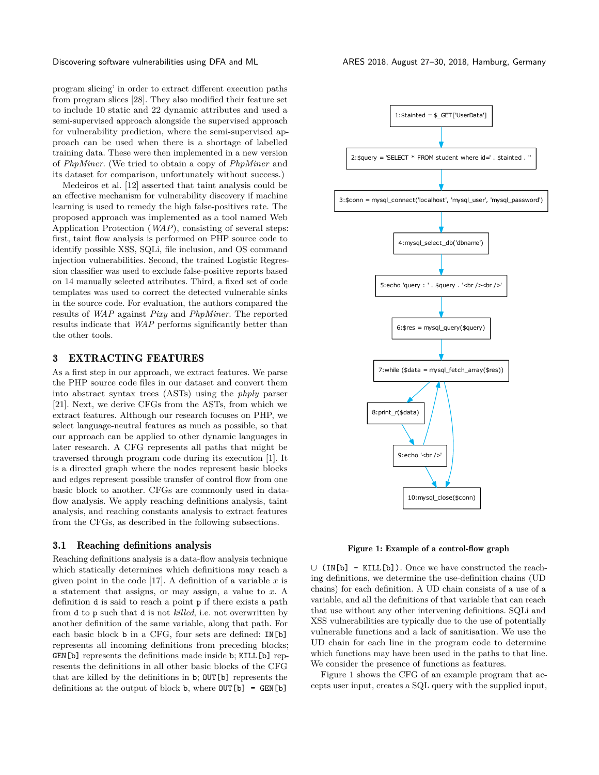program slicing' in order to extract different execution paths from program slices [\[28\]](#page-10-18). They also modified their feature set to include 10 static and 22 dynamic attributes and used a semi-supervised approach alongside the supervised approach for vulnerability prediction, where the semi-supervised approach can be used when there is a shortage of labelled training data. These were then implemented in a new version of *PhpMiner*. (We tried to obtain a copy of *PhpMiner* and its dataset for comparison, unfortunately without success.)

Medeiros et al. [\[12\]](#page-10-19) asserted that taint analysis could be an effective mechanism for vulnerability discovery if machine learning is used to remedy the high false-positives rate. The proposed approach was implemented as a tool named Web Application Protection (*WAP*), consisting of several steps: first, taint flow analysis is performed on PHP source code to identify possible XSS, SQLi, file inclusion, and OS command injection vulnerabilities. Second, the trained Logistic Regression classifier was used to exclude false-positive reports based on 14 manually selected attributes. Third, a fixed set of code templates was used to correct the detected vulnerable sinks in the source code. For evaluation, the authors compared the results of *WAP* against *Pixy* and *PhpMiner*. The reported results indicate that *WAP* performs significantly better than the other tools.

## <span id="page-3-0"></span>3 EXTRACTING FEATURES

As a first step in our approach, we extract features. We parse the PHP source code files in our dataset and convert them into abstract syntax trees (ASTs) using the *phply* parser [\[21\]](#page-10-20). Next, we derive CFGs from the ASTs, from which we extract features. Although our research focuses on PHP, we select language-neutral features as much as possible, so that our approach can be applied to other dynamic languages in later research. A CFG represents all paths that might be traversed through program code during its execution [\[1\]](#page-10-21). It is a directed graph where the nodes represent basic blocks and edges represent possible transfer of control flow from one basic block to another. CFGs are commonly used in dataflow analysis. We apply reaching definitions analysis, taint analysis, and reaching constants analysis to extract features from the CFGs, as described in the following subsections.

#### <span id="page-3-2"></span>3.1 Reaching definitions analysis

Reaching definitions analysis is a data-flow analysis technique which statically determines which definitions may reach a given point in the code [\[17\]](#page-10-22). A definition of a variable  $x$  is a statement that assigns, or may assign, a value to  $x$ . A definition d is said to reach a point p if there exists a path from d to p such that d is not *killed*, i.e. not overwritten by another definition of the same variable, along that path. For each basic block b in a CFG, four sets are defined: IN[b] represents all incoming definitions from preceding blocks; GEN[b] represents the definitions made inside b; KILL[b] represents the definitions in all other basic blocks of the CFG that are killed by the definitions in b; OUT[b] represents the definitions at the output of block b, where  $OUT[b] = GEN[b]$ 

<span id="page-3-1"></span>

Figure 1: Example of a control-flow graph

∪ (IN[b] - KILL[b]). Once we have constructed the reaching definitions, we determine the use-definition chains (UD chains) for each definition. A UD chain consists of a use of a variable, and all the definitions of that variable that can reach that use without any other intervening definitions. SQLi and XSS vulnerabilities are typically due to the use of potentially vulnerable functions and a lack of sanitisation. We use the UD chain for each line in the program code to determine which functions may have been used in the paths to that line. We consider the presence of functions as features.

Figure [1](#page-3-1) shows the CFG of an example program that accepts user input, creates a SQL query with the supplied input,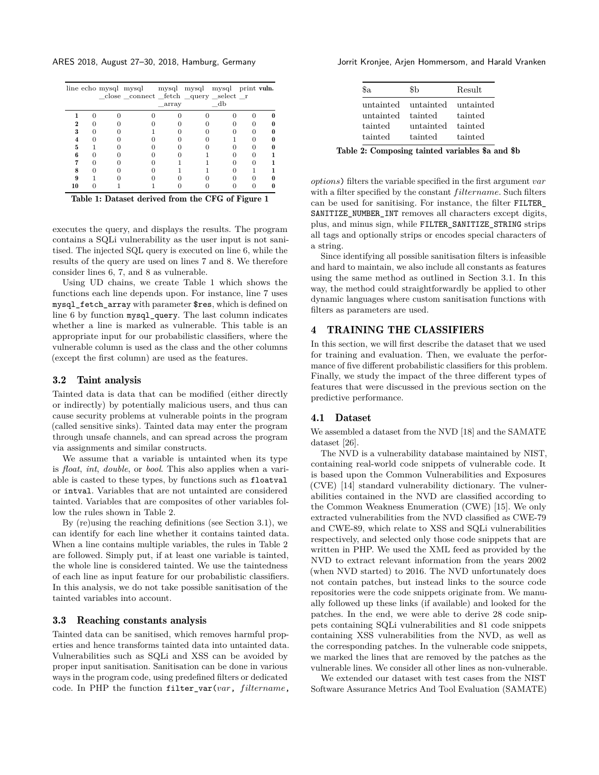ARES 2018, August 27–30, 2018, Hamburg, Germany Jorrit Kronjee, Arien Hommersom, and Harald Vranken

<span id="page-4-1"></span>

|    |  | line echo mysql mysql mysql mysql mysql print vuln.<br>close connect fetch query select r | array | db |  |
|----|--|-------------------------------------------------------------------------------------------|-------|----|--|
|    |  |                                                                                           |       |    |  |
|    |  |                                                                                           |       |    |  |
|    |  |                                                                                           |       |    |  |
|    |  |                                                                                           |       |    |  |
|    |  |                                                                                           |       |    |  |
|    |  |                                                                                           |       |    |  |
|    |  |                                                                                           |       |    |  |
|    |  |                                                                                           |       |    |  |
|    |  |                                                                                           |       |    |  |
| 10 |  |                                                                                           |       |    |  |

Table 1: Dataset derived from the CFG of Figure [1](#page-3-1)

executes the query, and displays the results. The program contains a SQLi vulnerability as the user input is not sanitised. The injected SQL query is executed on line 6, while the results of the query are used on lines 7 and 8. We therefore consider lines 6, 7, and 8 as vulnerable.

Using UD chains, we create Table [1](#page-4-1) which shows the functions each line depends upon. For instance, line 7 uses mysql\_fetch\_array with parameter \$res, which is defined on line 6 by function mysql\_query. The last column indicates whether a line is marked as vulnerable. This table is an appropriate input for our probabilistic classifiers, where the vulnerable column is used as the class and the other columns (except the first column) are used as the features.

#### 3.2 Taint analysis

Tainted data is data that can be modified (either directly or indirectly) by potentially malicious users, and thus can cause security problems at vulnerable points in the program (called sensitive sinks). Tainted data may enter the program through unsafe channels, and can spread across the program via assignments and similar constructs.

We assume that a variable is untainted when its type is *float*, *int*, *double*, or *bool*. This also applies when a variable is casted to these types, by functions such as floatval or intval. Variables that are not untainted are considered tainted. Variables that are composites of other variables follow the rules shown in Table [2.](#page-4-2)

By (re)using the reaching definitions (see Section [3.1\)](#page-3-2), we can identify for each line whether it contains tainted data. When a line contains multiple variables, the rules in Table [2](#page-4-2) are followed. Simply put, if at least one variable is tainted, the whole line is considered tainted. We use the taintedness of each line as input feature for our probabilistic classifiers. In this analysis, we do not take possible sanitisation of the tainted variables into account.

## 3.3 Reaching constants analysis

Tainted data can be sanitised, which removes harmful properties and hence transforms tainted data into untainted data. Vulnerabilities such as SQLi and XSS can be avoided by proper input sanitisation. Sanitisation can be done in various ways in the program code, using predefined filters or dedicated code. In PHP the function filter\_var(var, filtername,

<span id="page-4-2"></span>

| \$а       | SЬ                  | Result    |
|-----------|---------------------|-----------|
|           | untainted untainted | untainted |
| untainted | tainted             | tainted   |
| tainted   | untainted           | tainted   |
| tainted   | tainted             | tainted   |

Table 2: Composing tainted variables \$a and \$b

 $options)$  filters the variable specified in the first argument  $var$ with a filter specified by the constant *filtername*. Such filters can be used for sanitising. For instance, the filter FILTER\_ SANITIZE\_NUMBER\_INT removes all characters except digits, plus, and minus sign, while FILTER\_SANITIZE\_STRING strips all tags and optionally strips or encodes special characters of a string.

Since identifying all possible sanitisation filters is infeasible and hard to maintain, we also include all constants as features using the same method as outlined in Section [3.1.](#page-3-2) In this way, the method could straightforwardly be applied to other dynamic languages where custom sanitisation functions with filters as parameters are used.

## <span id="page-4-0"></span>4 TRAINING THE CLASSIFIERS

In this section, we will first describe the dataset that we used for training and evaluation. Then, we evaluate the performance of five different probabilistic classifiers for this problem. Finally, we study the impact of the three different types of features that were discussed in the previous section on the predictive performance.

# <span id="page-4-3"></span>4.1 Dataset

We assembled a dataset from the NVD [\[18\]](#page-10-1) and the SAMATE dataset [\[26\]](#page-10-23).

The NVD is a vulnerability database maintained by NIST, containing real-world code snippets of vulnerable code. It is based upon the Common Vulnerabilities and Exposures (CVE) [\[14\]](#page-10-24) standard vulnerability dictionary. The vulnerabilities contained in the NVD are classified according to the Common Weakness Enumeration (CWE) [\[15\]](#page-10-25). We only extracted vulnerabilities from the NVD classified as CWE-79 and CWE-89, which relate to XSS and SQLi vulnerabilities respectively, and selected only those code snippets that are written in PHP. We used the XML feed as provided by the NVD to extract relevant information from the years 2002 (when NVD started) to 2016. The NVD unfortunately does not contain patches, but instead links to the source code repositories were the code snippets originate from. We manually followed up these links (if available) and looked for the patches. In the end, we were able to derive 28 code snippets containing SQLi vulnerabilities and 81 code snippets containing XSS vulnerabilities from the NVD, as well as the corresponding patches. In the vulnerable code snippets, we marked the lines that are removed by the patches as the vulnerable lines. We consider all other lines as non-vulnerable.

We extended our dataset with test cases from the NIST Software Assurance Metrics And Tool Evaluation (SAMATE)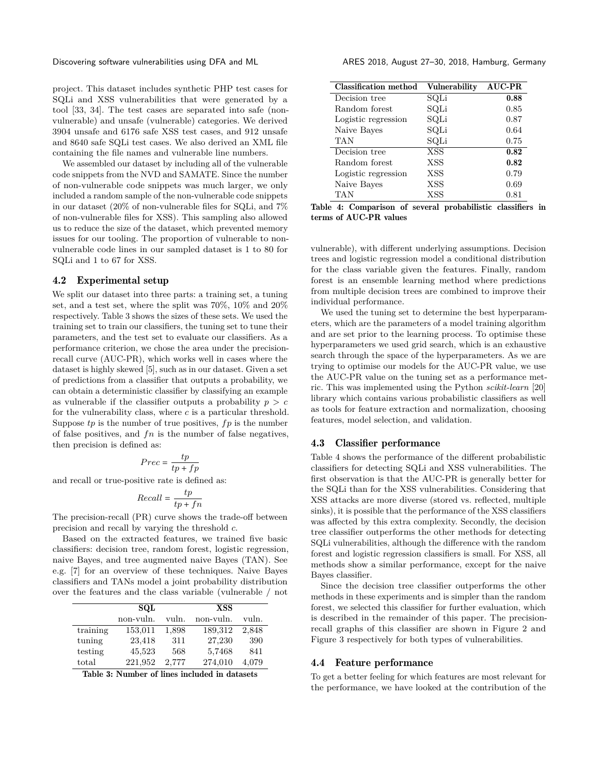Discovering software vulnerabilities using DFA and ML **ARES 2018, August 27-30, 2018, Hamburg**, Germany

project. This dataset includes synthetic PHP test cases for SQLi and XSS vulnerabilities that were generated by a tool [\[33,](#page-10-26) [34\]](#page-10-27). The test cases are separated into safe (nonvulnerable) and unsafe (vulnerable) categories. We derived 3904 unsafe and 6176 safe XSS test cases, and 912 unsafe and 8640 safe SQLi test cases. We also derived an XML file containing the file names and vulnerable line numbers.

We assembled our dataset by including all of the vulnerable code snippets from the NVD and SAMATE. Since the number of non-vulnerable code snippets was much larger, we only included a random sample of the non-vulnerable code snippets in our dataset (20% of non-vulnerable files for SQLi, and 7% of non-vulnerable files for XSS). This sampling also allowed us to reduce the size of the dataset, which prevented memory issues for our tooling. The proportion of vulnerable to nonvulnerable code lines in our sampled dataset is 1 to 80 for SQLi and 1 to 67 for XSS.

## 4.2 Experimental setup

We split our dataset into three parts: a training set, a tuning set, and a test set, where the split was 70%, 10% and 20% respectively. Table [3](#page-5-0) shows the sizes of these sets. We used the training set to train our classifiers, the tuning set to tune their parameters, and the test set to evaluate our classifiers. As a performance criterion, we chose the area under the precisionrecall curve (AUC-PR), which works well in cases where the dataset is highly skewed [\[5\]](#page-10-28), such as in our dataset. Given a set of predictions from a classifier that outputs a probability, we can obtain a deterministic classifier by classifying an example as vulnerable if the classifier outputs a probability  $p > c$ for the vulnerability class, where  $c$  is a particular threshold. Suppose  $tp$  is the number of true positives,  $fp$  is the number of false positives, and  $fn$  is the number of false negatives, then precision is defined as:

$$
Prec = \frac{tp}{tp + fp}
$$

and recall or true-positive rate is defined as:

$$
Recall = \frac{tp}{tp + fn}
$$

The precision-recall (PR) curve shows the trade-off between precision and recall by varying the threshold  $c$ .

Based on the extracted features, we trained five basic classifiers: decision tree, random forest, logistic regression, naive Bayes, and tree augmented naive Bayes (TAN). See e.g. [\[7\]](#page-10-29) for an overview of these techniques. Naive Bayes classifiers and TANs model a joint probability distribution over the features and the class variable (vulnerable / not

<span id="page-5-0"></span>

|          | SQL       |       | <b>XSS</b> |       |
|----------|-----------|-------|------------|-------|
|          | non-vuln. | vuln. | non-vuln.  | vuln. |
| training | 153,011   | 1,898 | 189,312    | 2,848 |
| tuning   | 23,418    | 311   | 27,230     | 390   |
| testing  | 45,523    | 568   | 5,7468     | 841   |
| total    | 221.952   | 2.777 | 274,010    | 4,079 |

Table 3: Number of lines included in datasets

<span id="page-5-1"></span>

| <b>Classification method</b> | Vulnerability | <b>AUC-PR</b> |
|------------------------------|---------------|---------------|
| Decision tree                | SQLi          | 0.88          |
| Random forest                | SQLi          | 0.85          |
| Logistic regression          | SQLi          | 0.87          |
| Naive Bayes                  | SQLi          | 0.64          |
| <b>TAN</b>                   | SQLi          | 0.75          |
| Decision tree                | <b>XSS</b>    | 0.82          |
| Random forest                | XSS           | 0.82          |
| Logistic regression          | <b>XSS</b>    | 0.79          |
| Naive Bayes                  | <b>XSS</b>    | 0.69          |
| TAN                          | <b>XSS</b>    | 0.81          |

Table 4: Comparison of several probabilistic classifiers in terms of AUC-PR values

vulnerable), with different underlying assumptions. Decision trees and logistic regression model a conditional distribution for the class variable given the features. Finally, random forest is an ensemble learning method where predictions from multiple decision trees are combined to improve their individual performance.

We used the tuning set to determine the best hyperparameters, which are the parameters of a model training algorithm and are set prior to the learning process. To optimise these hyperparameters we used grid search, which is an exhaustive search through the space of the hyperparameters. As we are trying to optimise our models for the AUC-PR value, we use the AUC-PR value on the tuning set as a performance metric. This was implemented using the Python *scikit-learn* [\[20\]](#page-10-30) library which contains various probabilistic classifiers as well as tools for feature extraction and normalization, choosing features, model selection, and validation.

### <span id="page-5-2"></span>4.3 Classifier performance

Table [4](#page-5-1) shows the performance of the different probabilistic classifiers for detecting SQLi and XSS vulnerabilities. The first observation is that the AUC-PR is generally better for the SQLi than for the XSS vulnerabilities. Considering that XSS attacks are more diverse (stored vs. reflected, multiple sinks), it is possible that the performance of the XSS classifiers was affected by this extra complexity. Secondly, the decision tree classifier outperforms the other methods for detecting SQLi vulnerabilities, although the difference with the random forest and logistic regression classifiers is small. For XSS, all methods show a similar performance, except for the naive Bayes classifier.

Since the decision tree classifier outperforms the other methods in these experiments and is simpler than the random forest, we selected this classifier for further evaluation, which is described in the remainder of this paper. The precisionrecall graphs of this classifier are shown in Figure [2](#page-6-1) and Figure [3](#page-6-1) respectively for both types of vulnerabilities.

#### 4.4 Feature performance

To get a better feeling for which features are most relevant for the performance, we have looked at the contribution of the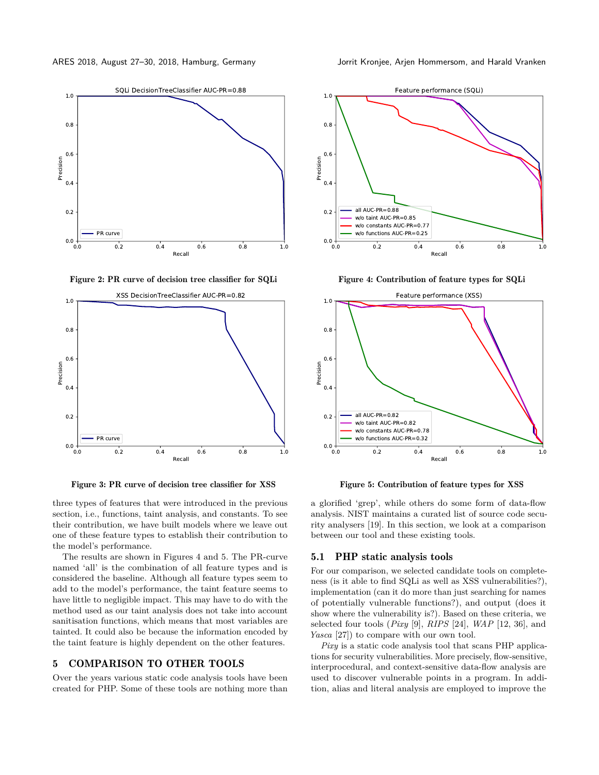<span id="page-6-1"></span>

Figure 2: PR curve of decision tree classifier for SQLi



Figure 3: PR curve of decision tree classifier for XSS

three types of features that were introduced in the previous section, i.e., functions, taint analysis, and constants. To see their contribution, we have built models where we leave out one of these feature types to establish their contribution to the model's performance.

The results are shown in Figures [4](#page-6-2) and [5.](#page-6-2) The PR-curve named 'all' is the combination of all feature types and is considered the baseline. Although all feature types seem to add to the model's performance, the taint feature seems to have little to negligible impact. This may have to do with the method used as our taint analysis does not take into account sanitisation functions, which means that most variables are tainted. It could also be because the information encoded by the taint feature is highly dependent on the other features.

#### <span id="page-6-0"></span>5 COMPARISON TO OTHER TOOLS

Over the years various static code analysis tools have been created for PHP. Some of these tools are nothing more than

<span id="page-6-2"></span>

Figure 4: Contribution of feature types for SQLi



Figure 5: Contribution of feature types for XSS

a glorified 'grep', while others do some form of data-flow analysis. NIST maintains a curated list of source code security analysers [\[19\]](#page-10-31). In this section, we look at a comparison between our tool and these existing tools.

#### 5.1 PHP static analysis tools

For our comparison, we selected candidate tools on completeness (is it able to find SQLi as well as XSS vulnerabilities?), implementation (can it do more than just searching for names of potentially vulnerable functions?), and output (does it show where the vulnerability is?). Based on these criteria, we selected four tools (*Pixy* [\[9\]](#page-10-32), *RIPS* [\[24\]](#page-10-33), *WAP* [\[12,](#page-10-19) [36\]](#page-10-34), and *Yasca* [\[27\]](#page-10-35)) to compare with our own tool.

*Pixy* is a static code analysis tool that scans PHP applications for security vulnerabilities. More precisely, flow-sensitive, interprocedural, and context-sensitive data-flow analysis are used to discover vulnerable points in a program. In addition, alias and literal analysis are employed to improve the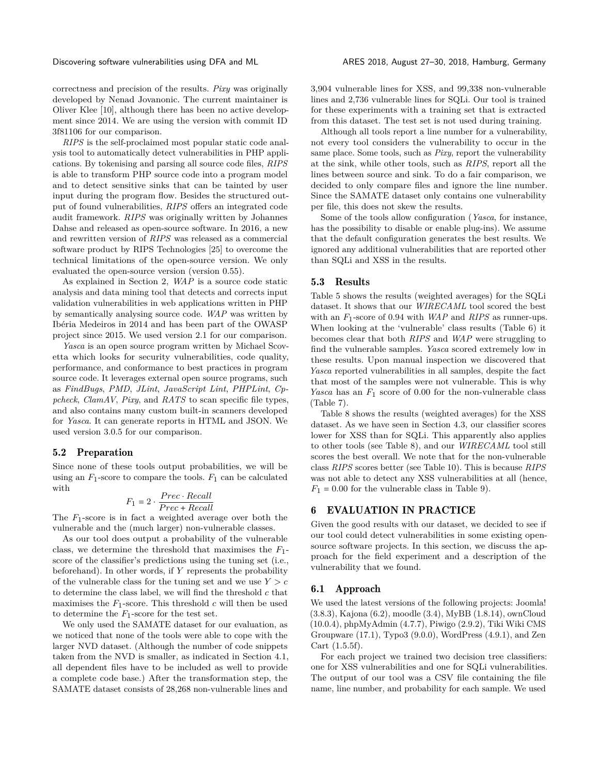Discovering software vulnerabilities using DFA and ML **ARES 2018, August 27-30, 2018, Hamburg**, Germany

correctness and precision of the results. *Pixy* was originally developed by Nenad Jovanonic. The current maintainer is Oliver Klee [\[10\]](#page-10-36), although there has been no active development since 2014. We are using the version with commit ID 3f81106 for our comparison.

*RIPS* is the self-proclaimed most popular static code analysis tool to automatically detect vulnerabilities in PHP applications. By tokenising and parsing all source code files, *RIPS* is able to transform PHP source code into a program model and to detect sensitive sinks that can be tainted by user input during the program flow. Besides the structured output of found vulnerabilities, *RIPS* offers an integrated code audit framework. *RIPS* was originally written by Johannes Dahse and released as open-source software. In 2016, a new and rewritten version of *RIPS* was released as a commercial software product by RIPS Technologies [\[25\]](#page-10-37) to overcome the technical limitations of the open-source version. We only evaluated the open-source version (version 0.55).

As explained in Section 2, *WAP* is a source code static analysis and data mining tool that detects and corrects input validation vulnerabilities in web applications written in PHP by semantically analysing source code. *WAP* was written by Ibéria Medeiros in 2014 and has been part of the OWASP project since 2015. We used version 2.1 for our comparison.

*Yasca* is an open source program written by Michael Scovetta which looks for security vulnerabilities, code quality, performance, and conformance to best practices in program source code. It leverages external open source programs, such as *FindBugs*, *PMD*, *JLint*, *JavaScript Lint*, *PHPLint*, *Cppcheck*, *ClamAV*, *Pixy*, and *RATS* to scan specific file types, and also contains many custom built-in scanners developed for *Yasca*. It can generate reports in HTML and JSON. We used version 3.0.5 for our comparison.

#### 5.2 Preparation

Since none of these tools output probabilities, we will be using an  $F_1$ -score to compare the tools.  $F_1$  can be calculated with

$$
F_1 = 2 \cdot \frac{Prec \cdot Recall}{Prec + Recall}
$$

The  $F_1$ -score is in fact a weighted average over both the vulnerable and the (much larger) non-vulnerable classes.

As our tool does output a probability of the vulnerable class, we determine the threshold that maximises the  $F_1$ score of the classifier's predictions using the tuning set (i.e., beforehand). In other words, if  $Y$  represents the probability of the vulnerable class for the tuning set and we use  $Y > c$ to determine the class label, we will find the threshold  $c$  that maximises the  $F_1$ -score. This threshold  $c$  will then be used to determine the  $F_1$ -score for the test set.

We only used the SAMATE dataset for our evaluation, as we noticed that none of the tools were able to cope with the larger NVD dataset. (Although the number of code snippets taken from the NVD is smaller, as indicated in Section [4.1,](#page-4-3) all dependent files have to be included as well to provide a complete code base.) After the transformation step, the SAMATE dataset consists of 28,268 non-vulnerable lines and

3,904 vulnerable lines for XSS, and 99,338 non-vulnerable lines and 2,736 vulnerable lines for SQLi. Our tool is trained for these experiments with a training set that is extracted from this dataset. The test set is not used during training.

Although all tools report a line number for a vulnerability, not every tool considers the vulnerability to occur in the same place. Some tools, such as *Pixy*, report the vulnerability at the sink, while other tools, such as *RIPS*, report all the lines between source and sink. To do a fair comparison, we decided to only compare files and ignore the line number. Since the SAMATE dataset only contains one vulnerability per file, this does not skew the results.

Some of the tools allow configuration (*Yasca*, for instance, has the possibility to disable or enable plug-ins). We assume that the default configuration generates the best results. We ignored any additional vulnerabilities that are reported other than SQLi and XSS in the results.

# 5.3 Results

Table [5](#page-8-0) shows the results (weighted averages) for the SQLi dataset. It shows that our *WIRECAML* tool scored the best with an  $F_1$ -score of 0.94 with *WAP* and *RIPS* as runner-ups. When looking at the 'vulnerable' class results (Table [6\)](#page-8-0) it becomes clear that both *RIPS* and *WAP* were struggling to find the vulnerable samples. *Yasca* scored extremely low in these results. Upon manual inspection we discovered that *Yasca* reported vulnerabilities in all samples, despite the fact that most of the samples were not vulnerable. This is why *Yasca* has an  $F_1$  score of 0.00 for the non-vulnerable class (Table [7\)](#page-8-0).

Table [8](#page-8-1) shows the results (weighted averages) for the XSS dataset. As we have seen in Section [4.3,](#page-5-2) our classifier scores lower for XSS than for SQLi. This apparently also applies to other tools (see Table [8\)](#page-8-1), and our *WIRECAML* tool still scores the best overall. We note that for the non-vulnerable class *RIPS* scores better (see Table [10\)](#page-8-1). This is because *RIPS* was not able to detect any XSS vulnerabilities at all (hence,  $F_1 = 0.00$  for the vulnerable class in Table [9\)](#page-8-1).

# <span id="page-7-0"></span>6 EVALUATION IN PRACTICE

Given the good results with our dataset, we decided to see if our tool could detect vulnerabilities in some existing opensource software projects. In this section, we discuss the approach for the field experiment and a description of the vulnerability that we found.

### 6.1 Approach

We used the latest versions of the following projects: Joomla! (3.8.3), Kajona (6.2), moodle (3.4), MyBB (1.8.14), ownCloud (10.0.4), phpMyAdmin (4.7.7), Piwigo (2.9.2), Tiki Wiki CMS Groupware (17.1), Typo3 (9.0.0), WordPress (4.9.1), and Zen Cart (1.5.5f).

For each project we trained two decision tree classifiers: one for XSS vulnerabilities and one for SQLi vulnerabilities. The output of our tool was a CSV file containing the file name, line number, and probability for each sample. We used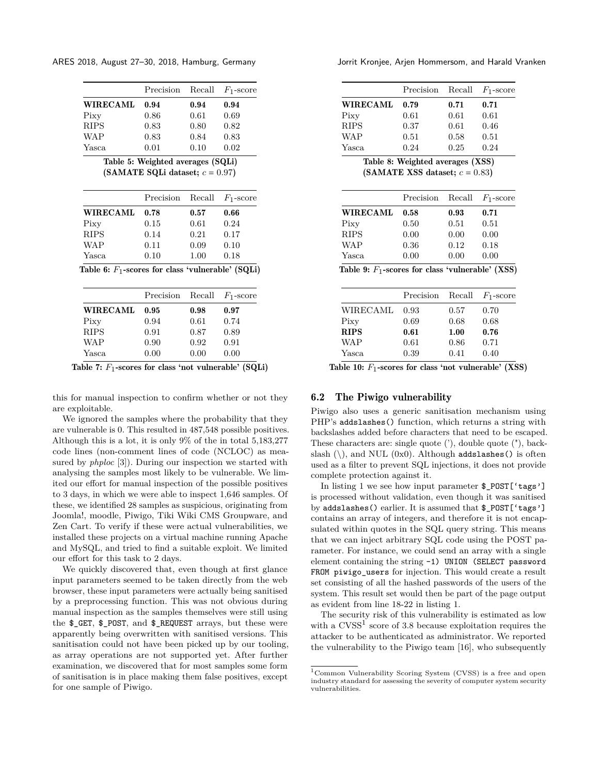<span id="page-8-0"></span>

|                 | Precision | Recall | $F_1$ -score |
|-----------------|-----------|--------|--------------|
| <b>WIRECAML</b> | 0.94      | 0.94   | 0.94         |
| Pixy            | 0.86      | 0.61   | 0.69         |
| <b>RIPS</b>     | 0.83      | 0.80   | 0.82         |
| <b>WAP</b>      | 0.83      | 0.84   | 0.83         |
| Yasca           | 0.01      | 0.10   | 0.02         |

Table 5: Weighted averages (SQLi) (SAMATE SQLi dataset;  $c = 0.97$ )

|                 | Precision Recall |      | $F_1$ -score |
|-----------------|------------------|------|--------------|
| <b>WIRECAML</b> | 0.78             | 0.57 | 0.66         |
| Pixy            | 0.15             | 0.61 | 0.24         |
| <b>RIPS</b>     | 0.14             | 0.21 | 0.17         |
| <b>WAP</b>      | 0.11             | 0.09 | 0.10         |
| Yasca           | 0.10             | 1.00 | 0.18         |

Table 6:  $F_1$ -scores for class 'vulnerable' (SQLi)

|                 | Precision Recall $F_1$ -score |      |      |
|-----------------|-------------------------------|------|------|
| <b>WIRECAML</b> | 0.95                          | 0.98 | 0.97 |
| Pixy            | 0.94                          | 0.61 | 0.74 |
| <b>RIPS</b>     | 0.91                          | 0.87 | 0.89 |
| <b>WAP</b>      | 0.90                          | 0.92 | 0.91 |
| Yasca           | 0.00                          | 0.00 | 0.00 |
|                 |                               |      |      |

Table 7:  $F_1$ -scores for class 'not vulnerable' (SQLi)

this for manual inspection to confirm whether or not they are exploitable.

We ignored the samples where the probability that they are vulnerable is 0. This resulted in 487,548 possible positives. Although this is a lot, it is only 9% of the in total 5,183,277 code lines (non-comment lines of code (NCLOC) as measured by *phploc* [\[3\]](#page-10-38)). During our inspection we started with analysing the samples most likely to be vulnerable. We limited our effort for manual inspection of the possible positives to 3 days, in which we were able to inspect 1,646 samples. Of these, we identified 28 samples as suspicious, originating from Joomla!, moodle, Piwigo, Tiki Wiki CMS Groupware, and Zen Cart. To verify if these were actual vulnerabilities, we installed these projects on a virtual machine running Apache and MySQL, and tried to find a suitable exploit. We limited our effort for this task to 2 days.

We quickly discovered that, even though at first glance input parameters seemed to be taken directly from the web browser, these input parameters were actually being sanitised by a preprocessing function. This was not obvious during manual inspection as the samples themselves were still using the \$\_GET, \$\_POST, and \$\_REQUEST arrays, but these were apparently being overwritten with sanitised versions. This sanitisation could not have been picked up by our tooling, as array operations are not supported yet. After further examination, we discovered that for most samples some form of sanitisation is in place making them false positives, except for one sample of Piwigo.

ARES 2018, August 27–30, 2018, Hamburg, Germany Jorrit Kronjee, Arien Hommersom, and Harald Vranken

<span id="page-8-1"></span>

|                 | Precision | Recall | $F_1$ -score |  |
|-----------------|-----------|--------|--------------|--|
| <b>WIRECAML</b> | 0.79      | 0.71   | 0.71         |  |
| Pixy            | 0.61      | 0.61   | 0.61         |  |
| <b>RIPS</b>     | 0.37      | 0.61   | 0.46         |  |
| <b>WAP</b>      | 0.51      | 0.58   | 0.51         |  |
| Yasca           | 0.24      | 0.25   | 0.24         |  |
| $\ell = -1$     |           |        |              |  |

Table 8: Weighted averages (XSS) (SAMATE XSS dataset;  $c = 0.83$ )

|                 | Precision | Recall | $F_1$ -score |
|-----------------|-----------|--------|--------------|
| <b>WIRECAML</b> | 0.58      | 0.93   | 0.71         |
| Pixy            | 0.50      | 0.51   | 0.51         |
| <b>RIPS</b>     | 0.00      | 0.00   | 0.00         |
| <b>WAP</b>      | 0.36      | 0.12   | 0.18         |
| Yasca           | 0.00      | 0.00   | 0.00         |

| Table 9: $F_1$ -scores for class 'vulnerable' (XSS) |  |
|-----------------------------------------------------|--|
|-----------------------------------------------------|--|

|             | Precision | Recall | $F_1$ -score |
|-------------|-----------|--------|--------------|
| WIRECAML    | 0.93      | 0.57   | 0.70         |
| Pixy        | 0.69      | 0.68   | 0.68         |
| <b>RIPS</b> | 0.61      | 1.00   | 0.76         |
| WAP         | 0.61      | 0.86   | 0.71         |
| Yasca.      | 0.39      | 0.41   | 0.40         |
|             |           |        |              |

Table 10:  $F_1$ -scores for class 'not vulnerable' (XSS)

## 6.2 The Piwigo vulnerability

Piwigo also uses a generic sanitisation mechanism using PHP's addslashes() function, which returns a string with backslashes added before characters that need to be escaped. These characters are: single quote ('), double quote ("), backslash (\), and NUL (0x0). Although addslashes() is often used as a filter to prevent SQL injections, it does not provide complete protection against it.

In listing [1](#page-9-2) we see how input parameter  $\$  POST['tags'] is processed without validation, even though it was sanitised by addslashes() earlier. It is assumed that \$\_POST['tags'] contains an array of integers, and therefore it is not encapsulated within quotes in the SQL query string. This means that we can inject arbitrary SQL code using the POST parameter. For instance, we could send an array with a single element containing the string -1) UNION (SELECT password FROM piwigo\_users for injection. This would create a result set consisting of all the hashed passwords of the users of the system. This result set would then be part of the page output as evident from line 18-22 in listing [1.](#page-9-2)

The security risk of this vulnerability is estimated as low with a  $CVSS<sup>1</sup>$  $CVSS<sup>1</sup>$  $CVSS<sup>1</sup>$  score of 3.8 because exploitation requires the attacker to be authenticated as administrator. We reported the vulnerability to the Piwigo team [\[16\]](#page-10-39), who subsequently

<span id="page-8-2"></span> $^1\mathrm{Common}$  Vulnerability Scoring System (CVSS) is a free and open industry standard for assessing the severity of computer system security vulnerabilities.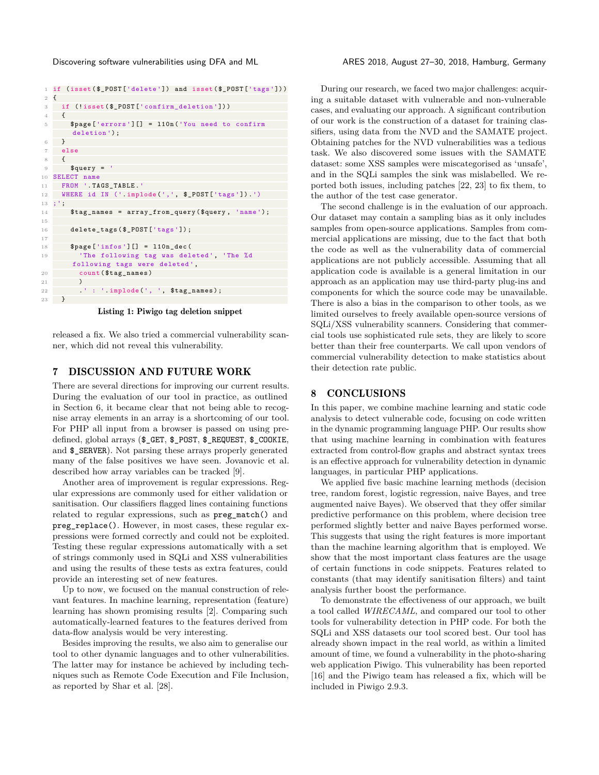Discovering software vulnerabilities using DFA and ML **ARES 2018, August 27-30, 2018, Hamburg**, Germany

```
1 if ( isset ($_POST ['delete']) and isset ($_POST ['tags']))
2 {
3 if (!isset($_POST['confirm_deletion']))
4 {
5 $page ['errors '][] = l10n ('You need to confirm
       deletion ');
6 }
7 else
8 {
9 $query =10 SELECT name
11 FROM '. TAGS_TABLE.'
12 WHERE id IN ('. implode (',', $_POST ['tags ']) .')
13 ;';
14 $tag_names = array_from_query ( $query , 'name ');
15
16 delete_tags ($_POST ['tags']);
17
18 $page ['infos '][] = l10n_dec (
19 'The following tag was deleted', 'The %d
       following tags were deleted ',
20 count ($tag_names)
21 )
22 ... ' : ' implode (', ', $tag_names);
23 }
```
Listing 1: Piwigo tag deletion snippet

released a fix. We also tried a commercial vulnerability scanner, which did not reveal this vulnerability.

## <span id="page-9-0"></span>7 DISCUSSION AND FUTURE WORK

There are several directions for improving our current results. During the evaluation of our tool in practice, as outlined in Section [6,](#page-7-0) it became clear that not being able to recognise array elements in an array is a shortcoming of our tool. For PHP all input from a browser is passed on using predefined, global arrays (\$\_GET, \$\_POST, \$\_REQUEST, \$\_COOKIE, and \$\_SERVER). Not parsing these arrays properly generated many of the false positives we have seen. Jovanovic et al. described how array variables can be tracked [\[9\]](#page-10-32).

Another area of improvement is regular expressions. Regular expressions are commonly used for either validation or sanitisation. Our classifiers flagged lines containing functions related to regular expressions, such as preg\_match() and preg\_replace(). However, in most cases, these regular expressions were formed correctly and could not be exploited. Testing these regular expressions automatically with a set of strings commonly used in SQLi and XSS vulnerabilities and using the results of these tests as extra features, could provide an interesting set of new features.

Up to now, we focused on the manual construction of relevant features. In machine learning, representation (feature) learning has shown promising results [\[2\]](#page-10-40). Comparing such automatically-learned features to the features derived from data-flow analysis would be very interesting.

Besides improving the results, we also aim to generalise our tool to other dynamic languages and to other vulnerabilities. The latter may for instance be achieved by including techniques such as Remote Code Execution and File Inclusion, as reported by Shar et al. [\[28\]](#page-10-18).

During our research, we faced two major challenges: acquiring a suitable dataset with vulnerable and non-vulnerable cases, and evaluating our approach. A significant contribution of our work is the construction of a dataset for training classifiers, using data from the NVD and the SAMATE project. Obtaining patches for the NVD vulnerabilities was a tedious task. We also discovered some issues with the SAMATE dataset: some XSS samples were miscategorised as 'unsafe', and in the SQLi samples the sink was mislabelled. We reported both issues, including patches [\[22,](#page-10-41) [23\]](#page-10-42) to fix them, to the author of the test case generator.

The second challenge is in the evaluation of our approach. Our dataset may contain a sampling bias as it only includes samples from open-source applications. Samples from commercial applications are missing, due to the fact that both the code as well as the vulnerability data of commercial applications are not publicly accessible. Assuming that all application code is available is a general limitation in our approach as an application may use third-party plug-ins and components for which the source code may be unavailable. There is also a bias in the comparison to other tools, as we limited ourselves to freely available open-source versions of SQLi/XSS vulnerability scanners. Considering that commercial tools use sophisticated rule sets, they are likely to score better than their free counterparts. We call upon vendors of commercial vulnerability detection to make statistics about their detection rate public.

# <span id="page-9-1"></span>8 CONCLUSIONS

In this paper, we combine machine learning and static code analysis to detect vulnerable code, focusing on code written in the dynamic programming language PHP. Our results show that using machine learning in combination with features extracted from control-flow graphs and abstract syntax trees is an effective approach for vulnerability detection in dynamic languages, in particular PHP applications.

We applied five basic machine learning methods (decision tree, random forest, logistic regression, naive Bayes, and tree augmented naive Bayes). We observed that they offer similar predictive performance on this problem, where decision tree performed slightly better and naive Bayes performed worse. This suggests that using the right features is more important than the machine learning algorithm that is employed. We show that the most important class features are the usage of certain functions in code snippets. Features related to constants (that may identify sanitisation filters) and taint analysis further boost the performance.

To demonstrate the effectiveness of our approach, we built a tool called *WIRECAML*, and compared our tool to other tools for vulnerability detection in PHP code. For both the SQLi and XSS datasets our tool scored best. Our tool has already shown impact in the real world, as within a limited amount of time, we found a vulnerability in the photo-sharing web application Piwigo. This vulnerability has been reported [\[16\]](#page-10-39) and the Piwigo team has released a fix, which will be included in Piwigo 2.9.3.